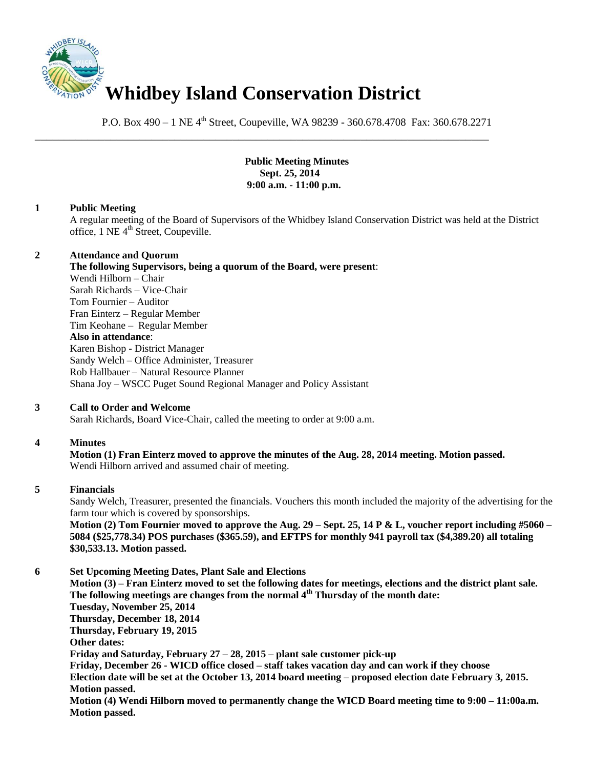

P.O. Box 490 – 1 NE 4<sup>th</sup> Street, Coupeville, WA 98239 - 360.678.4708 Fax: 360.678.2271

\_\_\_\_\_\_\_\_\_\_\_\_\_\_\_\_\_\_\_\_\_\_\_\_\_\_\_\_\_\_\_\_\_\_\_\_\_\_\_\_\_\_\_\_\_\_\_\_\_\_\_\_\_\_\_\_\_\_\_\_\_\_\_\_\_\_\_\_\_\_\_\_\_\_\_\_\_\_

**Public Meeting Minutes Sept. 25, 2014 9:00 a.m. - 11:00 p.m.**

### **1 Public Meeting**

A regular meeting of the Board of Supervisors of the Whidbey Island Conservation District was held at the District office, 1 NE 4<sup>th</sup> Street, Coupeville.

## **2 Attendance and Quorum**

**The following Supervisors, being a quorum of the Board, were present**: Wendi Hilborn – Chair Sarah Richards – Vice-Chair Tom Fournier – Auditor Fran Einterz – Regular Member Tim Keohane – Regular Member **Also in attendance**: Karen Bishop - District Manager Sandy Welch – Office Administer, Treasurer Rob Hallbauer – Natural Resource Planner Shana Joy – WSCC Puget Sound Regional Manager and Policy Assistant

# **3 Call to Order and Welcome**

Sarah Richards, Board Vice-Chair, called the meeting to order at 9:00 a.m.

# **4 Minutes**

**Motion (1) Fran Einterz moved to approve the minutes of the Aug. 28, 2014 meeting. Motion passed.**  Wendi Hilborn arrived and assumed chair of meeting.

#### **5 Financials**

Sandy Welch, Treasurer, presented the financials. Vouchers this month included the majority of the advertising for the farm tour which is covered by sponsorships.

**Motion (2) Tom Fournier moved to approve the Aug. 29 – Sept. 25, 14 P & L, voucher report including #5060 – 5084 (\$25,778.34) POS purchases (\$365.59), and EFTPS for monthly 941 payroll tax (\$4,389.20) all totaling \$30,533.13. Motion passed.** 

# **6 Set Upcoming Meeting Dates, Plant Sale and Elections**

**Motion (3) – Fran Einterz moved to set the following dates for meetings, elections and the district plant sale. The following meetings are changes from the normal 4th Thursday of the month date: Tuesday, November 25, 2014 Thursday, December 18, 2014 Thursday, February 19, 2015 Other dates: Friday and Saturday, February 27 – 28, 2015 – plant sale customer pick-up Friday, December 26 - WICD office closed – staff takes vacation day and can work if they choose Election date will be set at the October 13, 2014 board meeting – proposed election date February 3, 2015. Motion passed. Motion (4) Wendi Hilborn moved to permanently change the WICD Board meeting time to 9:00 – 11:00a.m. Motion passed.**